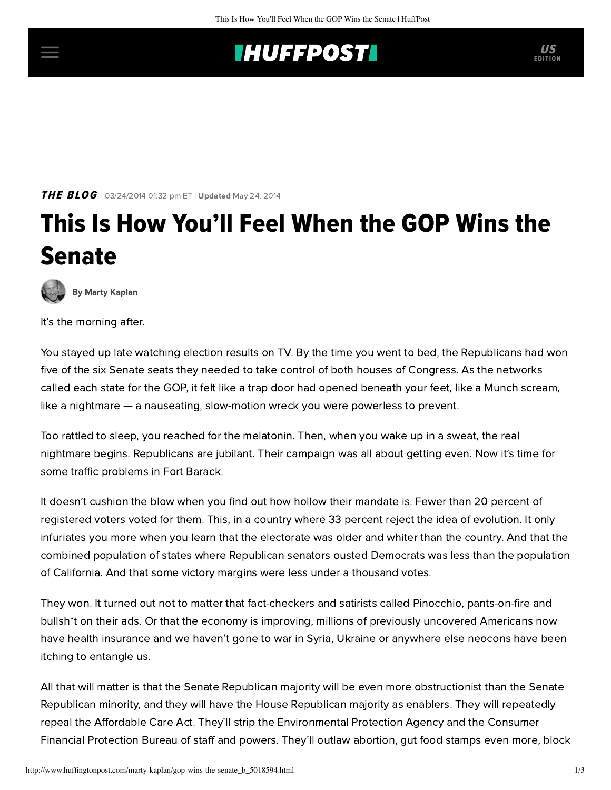## **INUFFPOST**

**THE BLOG** 03/24/2014 01:32 pm ET | Updated May 24, 2014

## This Is How You'll Feel When the GOP Wins the Senate

[By Marty Kaplan](http://www.huffingtonpost.com/author/marty-kaplan)

It's the morning after.

You stayed up late watching election results on TV. By the time you went to bed, the Republicans had won five of the [six Senate seats](http://cookpolitical.com/senate/charts/race-ratings) they needed to take control of both houses of Congress. As the networks called each state for the GOP, it felt like a trap door had opened beneath your feet, like a Munch scream, like a nightmare — a nauseating, slow-motion wreck you were powerless to prevent.

Too rattled to sleep, you reached for the melatonin. Then, when you wake up in a sweat, the real nightmare begins. Republicans are jubilant. Their campaign was all about getting even. Now it's time for some traffic problems in Fort Barack.

It doesn't cushion the blow when you find out how hollow their mandate is: Fewer than [20 percent](http://www.fairvote.org/research-and-analysis/voter-turnout/) of registered voters voted for them. This, in a country where [33 percent](http://www.fairvote.org/research-and-analysis/voter-turnout/) reject the idea of evolution. It only infuriates you more when you learn that the electorate was [older and whiter](http://cookpolitical.com/story/5776) than the country. And that the combined population of states where Republican senators ousted Democrats was less than the population of California. And that some victory margins were less under a [thousand](http://www.npr.org/blogs/itsallpolitics/2013/11/12/244812040/close-closer-closest-a-guide-to-election-photo-finishes) votes.

They won. It turned out not to matter that fact-checkers and satirists called Pinocchio, pants-on-fire and bullsh\*t on their ads. Or that the economy is improving, millions of previously uncovered Americans now have health insurance and we haven't gone to war in Syria, Ukraine or anywhere else neocons have been itching to entangle us.

All that will matter is that the Senate Republican majority will be even more obstructionist than the Senate Republican minority, and they will have the House Republican majority as enablers. They will repeatedly repeal the Affordable Care Act. They'll strip the Environmental Protection Agency and the Consumer Financial Protection Bureau of staff and powers. They'll outlaw abortion, gut food stamps even more, block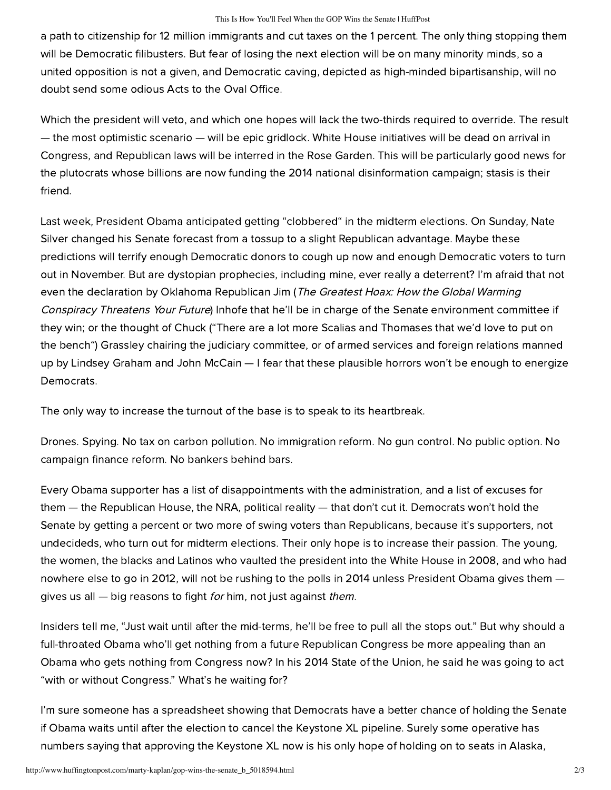a path to citizenship for 12 million immigrants and cut taxes on the 1 percent. The only thing stopping them will be Democratic filibusters. But fear of losing the next election will be on many minority minds, so a united opposition is not a given, and Democratic caving, depicted as high-minded bipartisanship, will no doubt send some odious Acts to the Oval Office.

Which the president will veto, and which one hopes will lack the two-thirds required to override. The result — the most optimistic scenario — will be epic gridlock. White House initiatives will be dead on arrival in Congress, and Republican laws will be interred in the Rose Garden. This will be particularly good news for the plutocrats whose billions are now funding the 2014 national disinformation campaign; stasis is their friend.

Last week, President Obama anticipated getting "[clobbered"](http://www.politico.com/story/2014/03/obama-democrats-midterm-elections-clobbered-104885.html) in the midterm elections. On Sunday, Nate [Silver changed his Senate forecast from a tossup to a slight Republican advantage. Maybe these](http://fivethirtyeight.com/features/fivethirtyeight-senate-forecast/) predictions will terrify enough Democratic donors to cough up now and enough Democratic voters to turn out in November. But are dystopian prophecies, including mine, ever really a deterrent? I'm afraid that not even the [declaration](http://thinkprogress.org/climate/2014/03/19/3416539/inhofe-senate-epw-committee/) by Oklahoma Republican Jim (The Greatest Hoax: How the Global Warming Conspiracy Threatens Your Future) Inhofe that he'll be in charge of the Senate environment committee if they win; or the thought of Chuck ("There are a lot more Scalias and Thomases that we'd love to put on [the bench"\) Grassley chairing the judiciary committee, or of armed services and foreign relations manne](http://www.msnbc.com/rachel-maddow-show/grassley-wars-more-scalias-and-thomases)d up by Lindsey Graham and John McCain — I fear that these plausible horrors won't be enough to energize Democrats.

The only way to increase the turnout of the base is to speak to its heartbreak.

Drones. Spying. No tax on carbon pollution. No immigration reform. No gun control. No public option. No campaign finance reform. No bankers behind bars.

Every Obama supporter has a list of disappointments with the administration, and a list of excuses for them — the Republican House, the NRA, political reality — that don't cut it. Democrats won't hold the Senate by getting a percent or two more of swing voters than Republicans, because it's supporters, not undecideds, who turn out for midterm elections. Their only hope is to increase their passion. The young, the women, the blacks and Latinos who vaulted the president into the White House in 2008, and who had nowhere else to go in 2012, will not be rushing to the polls in 2014 unless President Obama gives them gives us all  $-$  big reasons to fight *for* him, not just against *them*.

Insiders tell me, "Just wait until after the mid-terms, he'll be free to pull all the stops out." But why should a full-throated Obama who'll get nothing from a future Republican Congress be more appealing than an Obama who gets nothing from Congress now? In his 2014 State of the Union, he said he was going to act "with or without Congress." What's he waiting for?

I'm sure someone has a spreadsheet showing that Democrats have a better chance of holding the Senate if Obama waits until after the election to cancel the Keystone XL pipeline. Surely some operative has numbers saying that approving the Keystone XL now is his only hope of holding on to seats in Alaska,